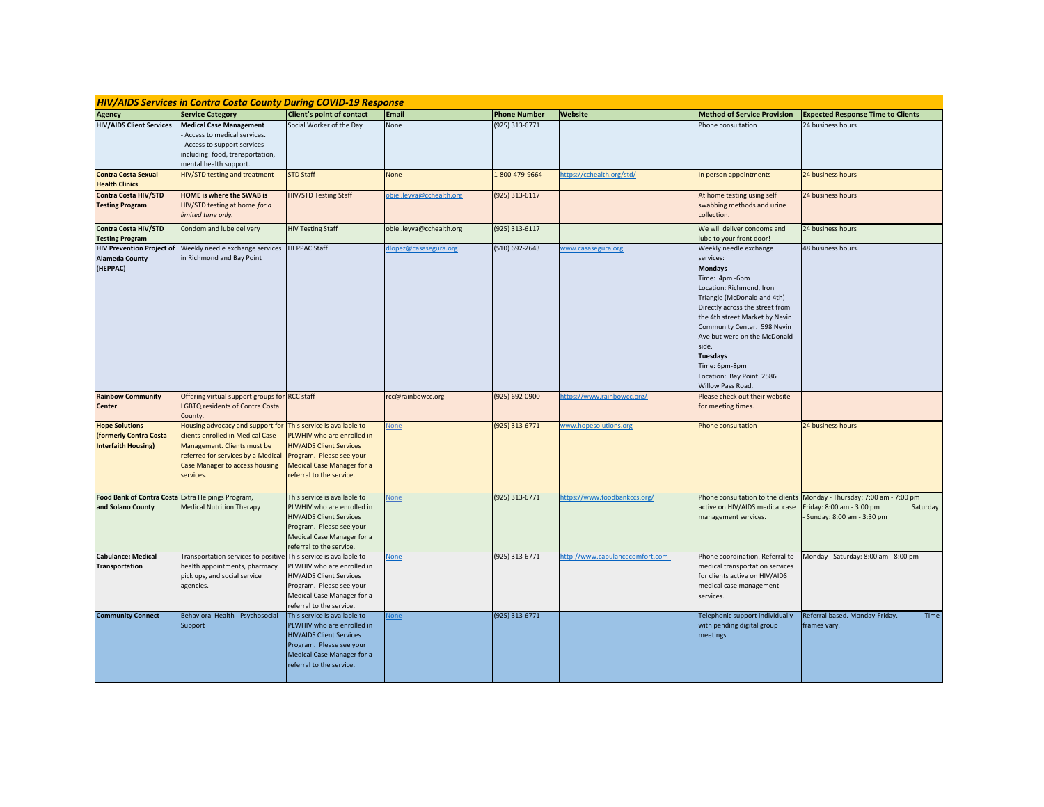| <b>HIV/AIDS Services in Contra Costa County During COVID-19 Response</b>      |                                                                                                                                                                                          |                                                                                                                                                                                            |                          |                     |                                |                                                                                                                                                                                                                                                                                                                                                                      |                                                                                                            |  |  |  |
|-------------------------------------------------------------------------------|------------------------------------------------------------------------------------------------------------------------------------------------------------------------------------------|--------------------------------------------------------------------------------------------------------------------------------------------------------------------------------------------|--------------------------|---------------------|--------------------------------|----------------------------------------------------------------------------------------------------------------------------------------------------------------------------------------------------------------------------------------------------------------------------------------------------------------------------------------------------------------------|------------------------------------------------------------------------------------------------------------|--|--|--|
| <b>Agency</b>                                                                 | <b>Service Category</b>                                                                                                                                                                  | Client's point of contact                                                                                                                                                                  | Email                    | <b>Phone Number</b> | Website                        | <b>Method of Service Provision</b>                                                                                                                                                                                                                                                                                                                                   | <b>Expected Response Time to Clients</b>                                                                   |  |  |  |
| <b>HIV/AIDS Client Services</b>                                               | <b>Medical Case Management</b><br>Access to medical services.<br>Access to support services<br>including: food, transportation,<br>mental health support.                                | Social Worker of the Day                                                                                                                                                                   | None                     | (925) 313-6771      |                                | Phone consultation                                                                                                                                                                                                                                                                                                                                                   | 24 business hours                                                                                          |  |  |  |
| <b>Contra Costa Sexual</b><br><b>Health Clinics</b>                           | HIV/STD testing and treatment                                                                                                                                                            | <b>STD Staff</b>                                                                                                                                                                           | None                     | 1-800-479-9664      | https://cchealth.org/std/      | In person appointments                                                                                                                                                                                                                                                                                                                                               | 24 business hours                                                                                          |  |  |  |
| Contra Costa HIV/STD<br><b>Testing Program</b>                                | <b>HOME</b> is where the SWAB is<br>HIV/STD testing at home for a<br>limited time only.                                                                                                  | HIV/STD Testing Staff                                                                                                                                                                      | biel.leyva@cchealth.org  | (925) 313-6117      |                                | At home testing using self<br>swabbing methods and urine<br>collection.                                                                                                                                                                                                                                                                                              | 24 business hours                                                                                          |  |  |  |
| Contra Costa HIV/STD<br><b>Testing Program</b>                                | Condom and lube delivery                                                                                                                                                                 | <b>HIV Testing Staff</b>                                                                                                                                                                   | obiel.leyva@cchealth.org | (925) 313-6117      |                                | We will deliver condoms and<br>ube to your front door!                                                                                                                                                                                                                                                                                                               | 24 business hours                                                                                          |  |  |  |
| <b>HIV Prevention Project of</b><br><b>Alameda County</b><br>(HEPPAC)         | Weekly needle exchange services<br>in Richmond and Bay Point                                                                                                                             | <b>HEPPAC Staff</b>                                                                                                                                                                        | llopez@casasegura.org    | (510) 692-2643      | www.casasegura.org             | Weekly needle exchange<br>services:<br><b>Mondays</b><br>Time: 4pm -6pm<br>Location: Richmond, Iron<br>Triangle (McDonald and 4th)<br>Directly across the street from<br>the 4th street Market by Nevin<br>Community Center. 598 Nevin<br>Ave but were on the McDonald<br>side.<br><b>Tuesdays</b><br>Time: 6pm-8pm<br>Location: Bay Point 2586<br>Willow Pass Road. | 48 business hours.                                                                                         |  |  |  |
| <b>Rainbow Community</b><br>Center                                            | Offering virtual support groups for RCC staff<br><b>LGBTQ residents of Contra Costa</b><br>County.                                                                                       |                                                                                                                                                                                            | rcc@rainbowcc.org        | (925) 692-0900      | ttps://www.rainbowcc.org/      | Please check out their website<br>for meeting times.                                                                                                                                                                                                                                                                                                                 |                                                                                                            |  |  |  |
| <b>Hope Solutions</b><br>(formerly Contra Costa<br><b>Interfaith Housing)</b> | Housing advocacy and support for<br>clients enrolled in Medical Case<br>Management. Clients must be<br>referred for services by a Medical<br>Case Manager to access housing<br>services. | This service is available to<br>PLWHIV who are enrolled in<br><b>HIV/AIDS Client Services</b><br>Program. Please see your<br><b>Medical Case Manager for a</b><br>referral to the service. | None                     | (925) 313-6771      | www.hopesolutions.org          | Phone consultation                                                                                                                                                                                                                                                                                                                                                   | 24 business hours                                                                                          |  |  |  |
| <b>Food Bank of Contra Costa</b><br>and Solano County                         | Extra Helpings Program,<br><b>Medical Nutrition Therapy</b>                                                                                                                              | This service is available to<br>PLWHIV who are enrolled in<br><b>HIV/AIDS Client Services</b><br>Program. Please see your<br>Medical Case Manager for a<br>referral to the service.        | <b>None</b>              | (925) 313-6771      | https://www.foodbankccs.org/   | Phone consultation to the clients<br>active on HIV/AIDS medical case<br>management services.                                                                                                                                                                                                                                                                         | Monday - Thursday: 7:00 am - 7:00 pm<br>Friday: 8:00 am - 3:00 pm<br>Saturday<br>Sunday: 8:00 am - 3:30 pm |  |  |  |
| <b>Cabulance: Medical</b><br><b>Transportation</b>                            | Transportation services to positiv<br>health appointments, pharmacy<br>pick ups, and social service<br>agencies.                                                                         | This service is available to<br>PLWHIV who are enrolled in<br>HIV/AIDS Client Services<br>Program. Please see your<br>Medical Case Manager for a<br>referral to the service.               | <b>None</b>              | (925) 313-6771      | ttp://www.cabulancecomfort.com | Phone coordination. Referral to<br>medical transportation services<br>for clients active on HIV/AIDS<br>medical case management<br>services.                                                                                                                                                                                                                         | Monday - Saturday: 8:00 am - 8:00 pm                                                                       |  |  |  |
| <b>Community Connect</b>                                                      | Behavioral Health - Psychosocial<br>Support                                                                                                                                              | This service is available to<br>PLWHIV who are enrolled in<br><b>HIV/AIDS Client Services</b><br>Program. Please see your<br>Medical Case Manager for a<br>referral to the service.        | lone                     | (925) 313-6771      |                                | Telephonic support individually<br>with pending digital group<br>meetings                                                                                                                                                                                                                                                                                            | Referral based. Monday-Friday.<br>Time<br>frames vary.                                                     |  |  |  |